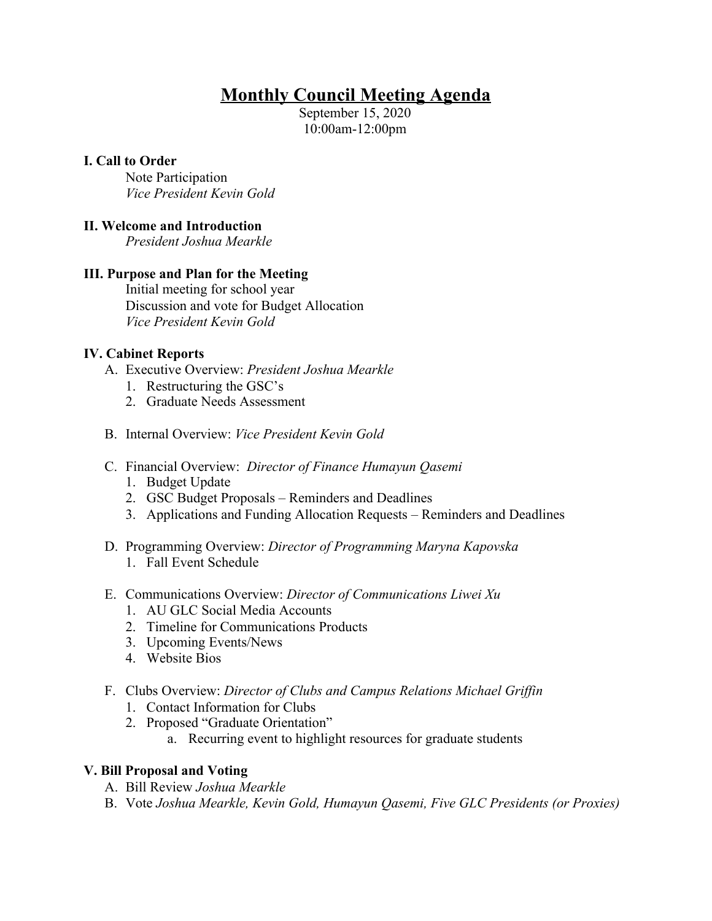# **Monthly Council Meeting Agenda**

September 15, 2020 10:00am-12:00pm

## **I. Call to Order**

Note Participation *Vice President Kevin Gold*

## **II. Welcome and Introduction**

*President Joshua Mearkle*

## **III. Purpose and Plan for the Meeting**

Initial meeting for school year Discussion and vote for Budget Allocation *Vice President Kevin Gold*

## **IV. Cabinet Reports**

- A. Executive Overview: *President Joshua Mearkle*
	- 1. Restructuring the GSC's
	- 2. Graduate Needs Assessment
- B. Internal Overview: *Vice President Kevin Gold*
- C. Financial Overview: *Director of Finance Humayun Qasemi*
	- 1. Budget Update
	- 2. GSC Budget Proposals Reminders and Deadlines
	- 3. Applications and Funding Allocation Requests Reminders and Deadlines
- D. Programming Overview: *Director of Programming Maryna Kapovska* 1. Fall Event Schedule
- E. Communications Overview: *Director of Communications Liwei Xu*
	- 1. AU GLC Social Media Accounts
	- 2. Timeline for Communications Products
	- 3. Upcoming Events/News
	- 4. Website Bios
- F. Clubs Overview: *Director of Clubs and Campus Relations Michael Griffin*
	- 1. Contact Information for Clubs
	- 2. Proposed "Graduate Orientation"
		- a. Recurring event to highlight resources for graduate students

## **V. Bill Proposal and Voting**

- A. Bill Review *Joshua Mearkle*
- B. Vote *Joshua Mearkle, Kevin Gold, Humayun Qasemi, Five GLC Presidents (or Proxies)*